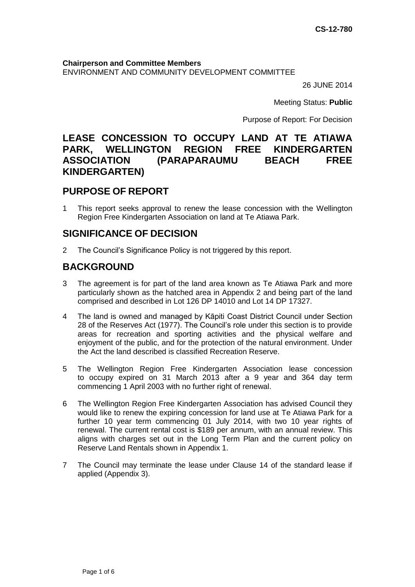**Chairperson and Committee Members** ENVIRONMENT AND COMMUNITY DEVELOPMENT COMMITTEE

26 JUNE 2014

Meeting Status: **Public**

Purpose of Report: For Decision

# **LEASE CONCESSION TO OCCUPY LAND AT TE ATIAWA PARK, WELLINGTON REGION FREE KINDERGARTEN ASSOCIATION (PARAPARAUMU BEACH FREE KINDERGARTEN)**

## **PURPOSE OF REPORT**

1 This report seeks approval to renew the lease concession with the Wellington Region Free Kindergarten Association on land at Te Atiawa Park.

# **SIGNIFICANCE OF DECISION**

2 The Council's Significance Policy is not triggered by this report.

# **BACKGROUND**

- 3 The agreement is for part of the land area known as Te Atiawa Park and more particularly shown as the hatched area in Appendix 2 and being part of the land comprised and described in Lot 126 DP 14010 and Lot 14 DP 17327.
- 4 The land is owned and managed by Kāpiti Coast District Council under Section 28 of the Reserves Act (1977). The Council's role under this section is to provide areas for recreation and sporting activities and the physical welfare and enjoyment of the public, and for the protection of the natural environment. Under the Act the land described is classified Recreation Reserve.
- 5 The Wellington Region Free Kindergarten Association lease concession to occupy expired on 31 March 2013 after a 9 year and 364 day term commencing 1 April 2003 with no further right of renewal.
- 6 The Wellington Region Free Kindergarten Association has advised Council they would like to renew the expiring concession for land use at Te Atiawa Park for a further 10 year term commencing 01 July 2014, with two 10 year rights of renewal. The current rental cost is \$189 per annum, with an annual review. This aligns with charges set out in the Long Term Plan and the current policy on Reserve Land Rentals shown in Appendix 1.
- 7 The Council may terminate the lease under Clause 14 of the standard lease if applied (Appendix 3).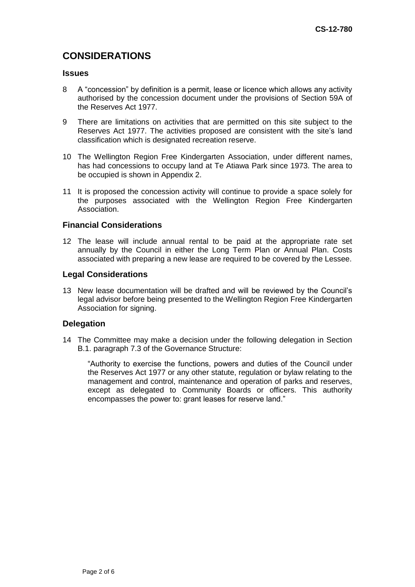# **CONSIDERATIONS**

### **Issues**

- 8 A "concession" by definition is a permit, lease or licence which allows any activity authorised by the concession document under the provisions of Section 59A of the Reserves Act 1977.
- 9 There are limitations on activities that are permitted on this site subject to the Reserves Act 1977. The activities proposed are consistent with the site's land classification which is designated recreation reserve.
- 10 The Wellington Region Free Kindergarten Association, under different names, has had concessions to occupy land at Te Atiawa Park since 1973. The area to be occupied is shown in Appendix 2.
- 11 It is proposed the concession activity will continue to provide a space solely for the purposes associated with the Wellington Region Free Kindergarten Association.

### **Financial Considerations**

12 The lease will include annual rental to be paid at the appropriate rate set annually by the Council in either the Long Term Plan or Annual Plan. Costs associated with preparing a new lease are required to be covered by the Lessee.

#### **Legal Considerations**

13 New lease documentation will be drafted and will be reviewed by the Council's legal advisor before being presented to the Wellington Region Free Kindergarten Association for signing.

#### **Delegation**

14 The Committee may make a decision under the following delegation in Section B.1. paragraph 7.3 of the Governance Structure:

"Authority to exercise the functions, powers and duties of the Council under the Reserves Act 1977 or any other statute, regulation or bylaw relating to the management and control, maintenance and operation of parks and reserves, except as delegated to Community Boards or officers. This authority encompasses the power to: grant leases for reserve land."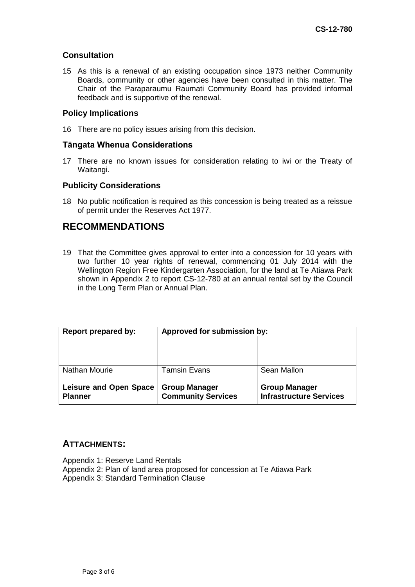## **Consultation**

15 As this is a renewal of an existing occupation since 1973 neither Community Boards, community or other agencies have been consulted in this matter. The Chair of the Paraparaumu Raumati Community Board has provided informal feedback and is supportive of the renewal.

### **Policy Implications**

16 There are no policy issues arising from this decision.

### **Tāngata Whenua Considerations**

17 There are no known issues for consideration relating to iwi or the Treaty of Waitangi.

### **Publicity Considerations**

18 No public notification is required as this concession is being treated as a reissue of permit under the Reserves Act 1977.

## **RECOMMENDATIONS**

19 That the Committee gives approval to enter into a concession for 10 years with two further 10 year rights of renewal, commencing 01 July 2014 with the Wellington Region Free Kindergarten Association, for the land at Te Atiawa Park shown in Appendix 2 to report CS-12-780 at an annual rental set by the Council in the Long Term Plan or Annual Plan.

| <b>Report prepared by:</b>                      | Approved for submission by:                       |                                                        |
|-------------------------------------------------|---------------------------------------------------|--------------------------------------------------------|
|                                                 |                                                   |                                                        |
| <b>Nathan Mourie</b>                            | <b>Tamsin Evans</b>                               | Sean Mallon                                            |
| <b>Leisure and Open Space</b><br><b>Planner</b> | <b>Group Manager</b><br><b>Community Services</b> | <b>Group Manager</b><br><b>Infrastructure Services</b> |

## **ATTACHMENTS:**

Appendix 1: Reserve Land Rentals Appendix 2: Plan of land area proposed for concession at Te Atiawa Park

Appendix 3: Standard Termination Clause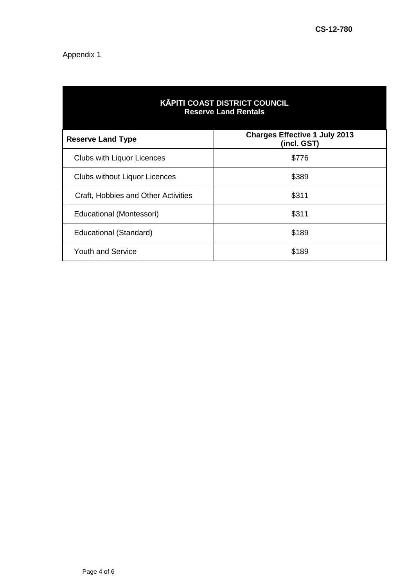## Appendix 1

| <b>KĀPITI COAST DISTRICT COUNCIL</b><br><b>Reserve Land Rentals</b> |                                                     |  |
|---------------------------------------------------------------------|-----------------------------------------------------|--|
| <b>Reserve Land Type</b>                                            | <b>Charges Effective 1 July 2013</b><br>(incl. GST) |  |
| <b>Clubs with Liquor Licences</b>                                   | \$776                                               |  |
| <b>Clubs without Liquor Licences</b>                                | \$389                                               |  |
| Craft, Hobbies and Other Activities                                 | \$311                                               |  |
| Educational (Montessori)                                            | \$311                                               |  |
| Educational (Standard)                                              | \$189                                               |  |
| <b>Youth and Service</b>                                            | \$189                                               |  |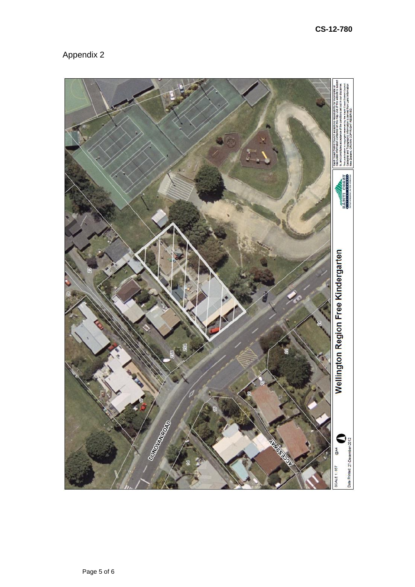

Appendix 2